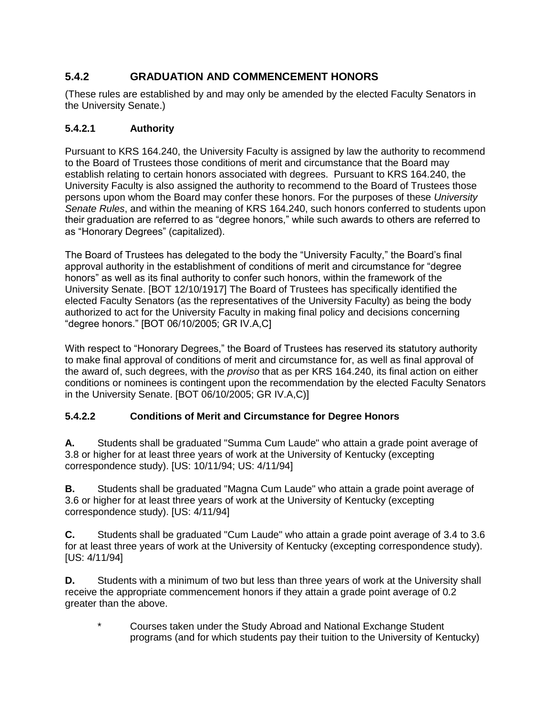# **5.4.2 GRADUATION AND COMMENCEMENT HONORS**

(These rules are established by and may only be amended by the elected Faculty Senators in the University Senate.)

## **5.4.2.1 Authority**

Pursuant to KRS 164.240, the University Faculty is assigned by law the authority to recommend to the Board of Trustees those conditions of merit and circumstance that the Board may establish relating to certain honors associated with degrees. Pursuant to KRS 164.240, the University Faculty is also assigned the authority to recommend to the Board of Trustees those persons upon whom the Board may confer these honors. For the purposes of these *University Senate Rules*, and within the meaning of KRS 164.240, such honors conferred to students upon their graduation are referred to as "degree honors," while such awards to others are referred to as "Honorary Degrees" (capitalized).

The Board of Trustees has delegated to the body the "University Faculty," the Board's final approval authority in the establishment of conditions of merit and circumstance for "degree honors" as well as its final authority to confer such honors, within the framework of the University Senate. [BOT 12/10/1917] The Board of Trustees has specifically identified the elected Faculty Senators (as the representatives of the University Faculty) as being the body authorized to act for the University Faculty in making final policy and decisions concerning "degree honors." [BOT 06/10/2005; GR IV.A,C]

With respect to "Honorary Degrees," the Board of Trustees has reserved its statutory authority to make final approval of conditions of merit and circumstance for, as well as final approval of the award of, such degrees, with the *proviso* that as per KRS 164.240, its final action on either conditions or nominees is contingent upon the recommendation by the elected Faculty Senators in the University Senate. [BOT 06/10/2005; GR IV.A,C)]

## **5.4.2.2 Conditions of Merit and Circumstance for Degree Honors**

**A.** Students shall be graduated "Summa Cum Laude" who attain a grade point average of 3.8 or higher for at least three years of work at the University of Kentucky (excepting correspondence study). [US: 10/11/94; US: 4/11/94]

**B.** Students shall be graduated "Magna Cum Laude" who attain a grade point average of 3.6 or higher for at least three years of work at the University of Kentucky (excepting correspondence study). [US: 4/11/94]

**C.** Students shall be graduated "Cum Laude" who attain a grade point average of 3.4 to 3.6 for at least three years of work at the University of Kentucky (excepting correspondence study). [US: 4/11/94]

**D.** Students with a minimum of two but less than three years of work at the University shall receive the appropriate commencement honors if they attain a grade point average of 0.2 greater than the above.

Courses taken under the Study Abroad and National Exchange Student programs (and for which students pay their tuition to the University of Kentucky)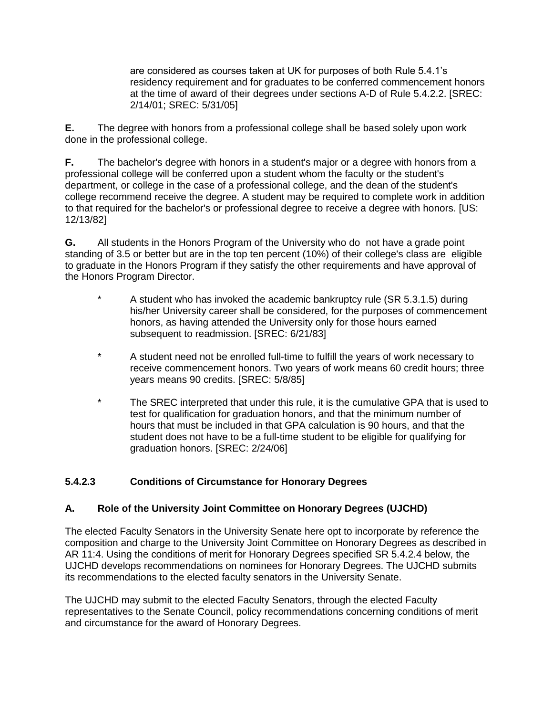are considered as courses taken at UK for purposes of both Rule 5.4.1's residency requirement and for graduates to be conferred commencement honors at the time of award of their degrees under sections A-D of Rule 5.4.2.2. [SREC: 2/14/01; SREC: 5/31/05]

**E.** The degree with honors from a professional college shall be based solely upon work done in the professional college.

**F.** The bachelor's degree with honors in a student's major or a degree with honors from a professional college will be conferred upon a student whom the faculty or the student's department, or college in the case of a professional college, and the dean of the student's college recommend receive the degree. A student may be required to complete work in addition to that required for the bachelor's or professional degree to receive a degree with honors. [US: 12/13/82]

**G.** All students in the Honors Program of the University who do not have a grade point standing of 3.5 or better but are in the top ten percent (10%) of their college's class are eligible to graduate in the Honors Program if they satisfy the other requirements and have approval of the Honors Program Director.

- A student who has invoked the academic bankruptcy rule (SR 5.3.1.5) during his/her University career shall be considered, for the purposes of commencement honors, as having attended the University only for those hours earned subsequent to readmission. [SREC: 6/21/83]
- \* A student need not be enrolled full-time to fulfill the years of work necessary to receive commencement honors. Two years of work means 60 credit hours; three years means 90 credits. [SREC: 5/8/85]
- \* The SREC interpreted that under this rule, it is the cumulative GPA that is used to test for qualification for graduation honors, and that the minimum number of hours that must be included in that GPA calculation is 90 hours, and that the student does not have to be a full-time student to be eligible for qualifying for graduation honors. [SREC: 2/24/06]

## **5.4.2.3 Conditions of Circumstance for Honorary Degrees**

## **A. Role of the University Joint Committee on Honorary Degrees (UJCHD)**

The elected Faculty Senators in the University Senate here opt to incorporate by reference the composition and charge to the University Joint Committee on Honorary Degrees as described in AR 11:4. Using the conditions of merit for Honorary Degrees specified SR 5.4.2.4 below, the UJCHD develops recommendations on nominees for Honorary Degrees. The UJCHD submits its recommendations to the elected faculty senators in the University Senate.

The UJCHD may submit to the elected Faculty Senators, through the elected Faculty representatives to the Senate Council, policy recommendations concerning conditions of merit and circumstance for the award of Honorary Degrees.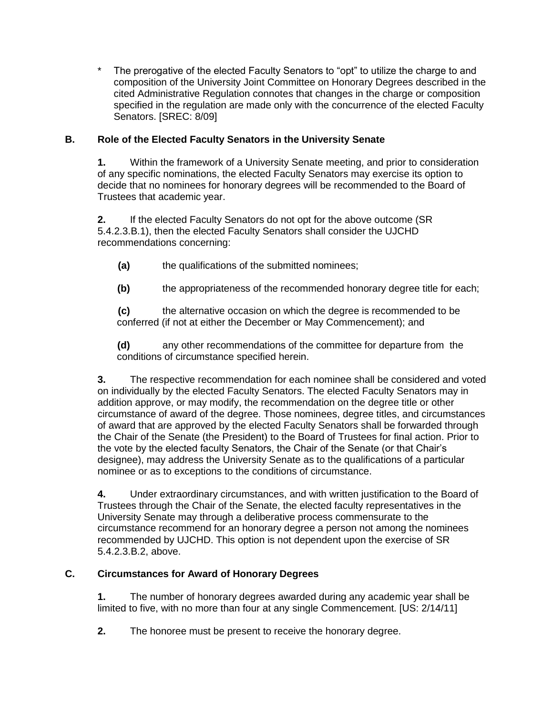The prerogative of the elected Faculty Senators to "opt" to utilize the charge to and composition of the University Joint Committee on Honorary Degrees described in the cited Administrative Regulation connotes that changes in the charge or composition specified in the regulation are made only with the concurrence of the elected Faculty Senators. [SREC: 8/09]

## **B. Role of the Elected Faculty Senators in the University Senate**

**1.** Within the framework of a University Senate meeting, and prior to consideration of any specific nominations, the elected Faculty Senators may exercise its option to decide that no nominees for honorary degrees will be recommended to the Board of Trustees that academic year.

**2.** If the elected Faculty Senators do not opt for the above outcome (SR 5.4.2.3.B.1), then the elected Faculty Senators shall consider the UJCHD recommendations concerning:

- **(a)** the qualifications of the submitted nominees;
- **(b)** the appropriateness of the recommended honorary degree title for each;

**(c)** the alternative occasion on which the degree is recommended to be conferred (if not at either the December or May Commencement); and

**(d)** any other recommendations of the committee for departure from the conditions of circumstance specified herein.

**3.** The respective recommendation for each nominee shall be considered and voted on individually by the elected Faculty Senators. The elected Faculty Senators may in addition approve, or may modify, the recommendation on the degree title or other circumstance of award of the degree. Those nominees, degree titles, and circumstances of award that are approved by the elected Faculty Senators shall be forwarded through the Chair of the Senate (the President) to the Board of Trustees for final action. Prior to the vote by the elected faculty Senators, the Chair of the Senate (or that Chair's designee), may address the University Senate as to the qualifications of a particular nominee or as to exceptions to the conditions of circumstance.

**4.** Under extraordinary circumstances, and with written justification to the Board of Trustees through the Chair of the Senate, the elected faculty representatives in the University Senate may through a deliberative process commensurate to the circumstance recommend for an honorary degree a person not among the nominees recommended by UJCHD. This option is not dependent upon the exercise of SR 5.4.2.3.B.2, above.

## **C. Circumstances for Award of Honorary Degrees**

**1.** The number of honorary degrees awarded during any academic year shall be limited to five, with no more than four at any single Commencement. [US: 2/14/11]

**2.** The honoree must be present to receive the honorary degree.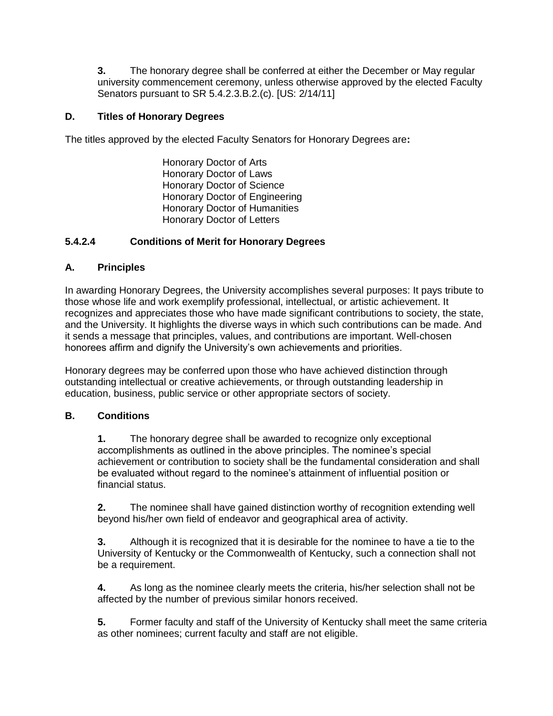**3.** The honorary degree shall be conferred at either the December or May regular university commencement ceremony, unless otherwise approved by the elected Faculty Senators pursuant to SR 5.4.2.3.B.2.(c). [US: 2/14/11]

#### **D. Titles of Honorary Degrees**

The titles approved by the elected Faculty Senators for Honorary Degrees are**:**

Honorary Doctor of Arts Honorary Doctor of Laws Honorary Doctor of Science Honorary Doctor of Engineering Honorary Doctor of Humanities Honorary Doctor of Letters

#### **5.4.2.4 Conditions of Merit for Honorary Degrees**

#### **A. Principles**

In awarding Honorary Degrees, the University accomplishes several purposes: It pays tribute to those whose life and work exemplify professional, intellectual, or artistic achievement. It recognizes and appreciates those who have made significant contributions to society, the state, and the University. It highlights the diverse ways in which such contributions can be made. And it sends a message that principles, values, and contributions are important. Well-chosen honorees affirm and dignify the University's own achievements and priorities.

Honorary degrees may be conferred upon those who have achieved distinction through outstanding intellectual or creative achievements, or through outstanding leadership in education, business, public service or other appropriate sectors of society.

#### **B. Conditions**

**1.** The honorary degree shall be awarded to recognize only exceptional accomplishments as outlined in the above principles. The nominee's special achievement or contribution to society shall be the fundamental consideration and shall be evaluated without regard to the nominee's attainment of influential position or financial status.

**2.** The nominee shall have gained distinction worthy of recognition extending well beyond his/her own field of endeavor and geographical area of activity.

**3.** Although it is recognized that it is desirable for the nominee to have a tie to the University of Kentucky or the Commonwealth of Kentucky, such a connection shall not be a requirement.

**4.** As long as the nominee clearly meets the criteria, his/her selection shall not be affected by the number of previous similar honors received.

**5.** Former faculty and staff of the University of Kentucky shall meet the same criteria as other nominees; current faculty and staff are not eligible.